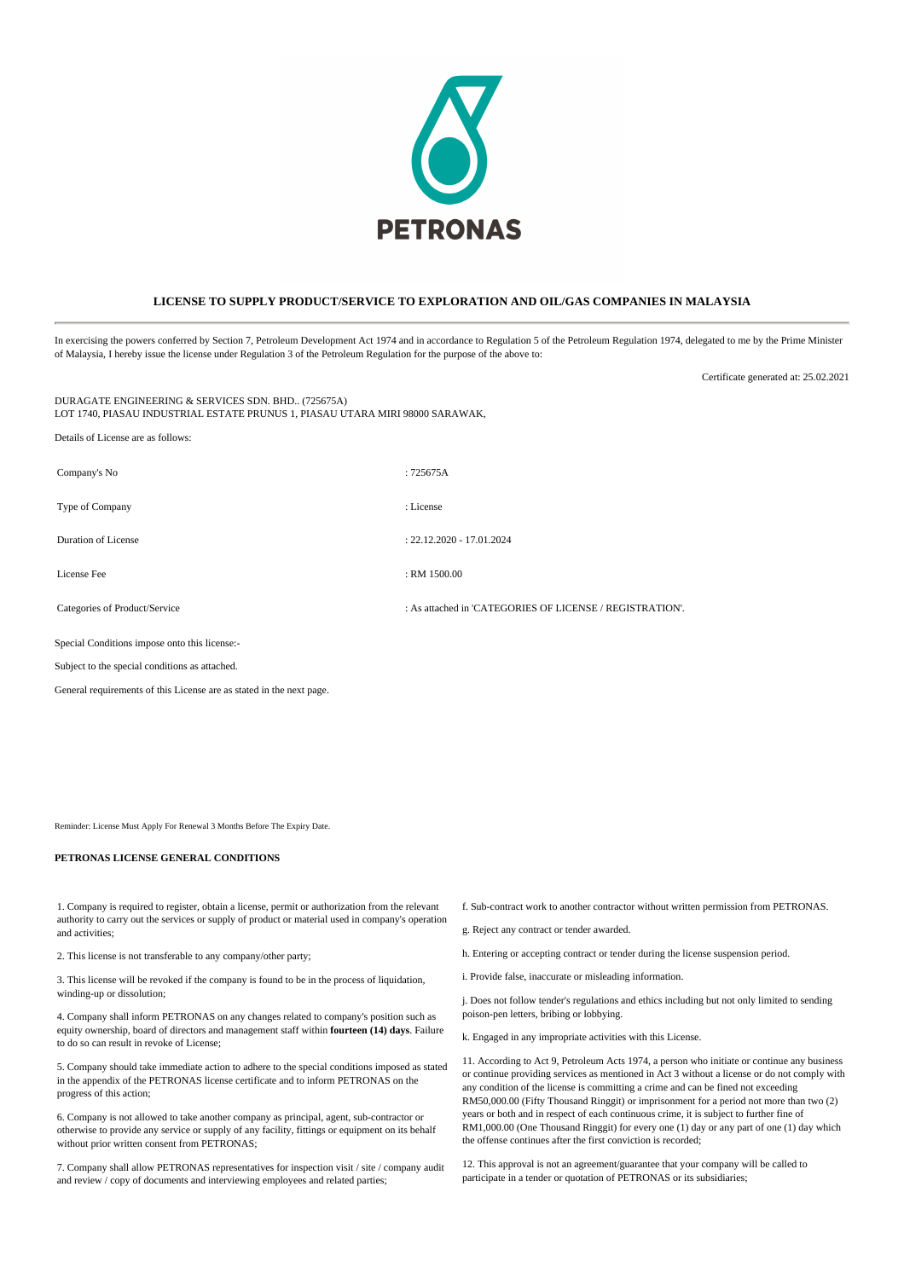

## **LICENSE TO SUPPLY PRODUCT/SERVICE TO EXPLORATION AND OIL/GAS COMPANIES IN MALAYSIA**

In exercising the powers conferred by Section 7, Petroleum Development Act 1974 and in accordance to Regulation 5 of the Petroleum Regulation 1974, delegated to me by the Prime Minister of Malaysia, I hereby issue the license under Regulation 3 of the Petroleum Regulation for the purpose of the above to:

DURAGATE ENGINEERING & SERVICES SDN. BHD.. (725675A) LOT 1740, PIASAU INDUSTRIAL ESTATE PRUNUS 1, PIASAU UTARA MIRI 98000 SARAWAK,

Details of License are as follows: Company's No : 725675A Type of Company : License Duration of License : 22.12.2020 - 17.01.2024 License Fee : RM 1500.00 Categories of Product/Service : As attached in 'CATEGORIES OF LICENSE / REGISTRATION'. Special Conditions impose onto this license:-

Subject to the special conditions as attached.

General requirements of this License are as stated in the next page.

Reminder: License Must Apply For Renewal 3 Months Before The Expiry Date.

## **PETRONAS LICENSE GENERAL CONDITIONS**

1. Company is required to register, obtain a license, permit or authorization from the relevant authority to carry out the services or supply of product or material used in company's operation and activities;

2. This license is not transferable to any company/other party;

3. This license will be revoked if the company is found to be in the process of liquidation, winding-up or dissolution;

4. Company shall inform PETRONAS on any changes related to company's position such as equity ownership, board of directors and management staff within **fourteen (14) days**. Failure to do so can result in revoke of License;

5. Company should take immediate action to adhere to the special conditions imposed as stated in the appendix of the PETRONAS license certificate and to inform PETRONAS on the progress of this action;

6. Company is not allowed to take another company as principal, agent, sub-contractor or otherwise to provide any service or supply of any facility, fittings or equipment on its behalf without prior written consent from PETRONAS:

7. Company shall allow PETRONAS representatives for inspection visit / site / company audit and review / copy of documents and interviewing employees and related parties;

f. Sub-contract work to another contractor without written permission from PETRONAS.

Certificate generated at: 25.02.2021

- g. Reject any contract or tender awarded.
- h. Entering or accepting contract or tender during the license suspension period.
- i. Provide false, inaccurate or misleading information.

j. Does not follow tender's regulations and ethics including but not only limited to sending poison-pen letters, bribing or lobbying.

k. Engaged in any impropriate activities with this License.

11. According to Act 9, Petroleum Acts 1974, a person who initiate or continue any business or continue providing services as mentioned in Act 3 without a license or do not comply with any condition of the license is committing a crime and can be fined not exceeding RM50,000.00 (Fifty Thousand Ringgit) or imprisonment for a period not more than two (2) years or both and in respect of each continuous crime, it is subject to further fine of RM1,000.00 (One Thousand Ringgit) for every one (1) day or any part of one (1) day which the offense continues after the first conviction is recorded;

12. This approval is not an agreement/guarantee that your company will be called to participate in a tender or quotation of PETRONAS or its subsidiaries;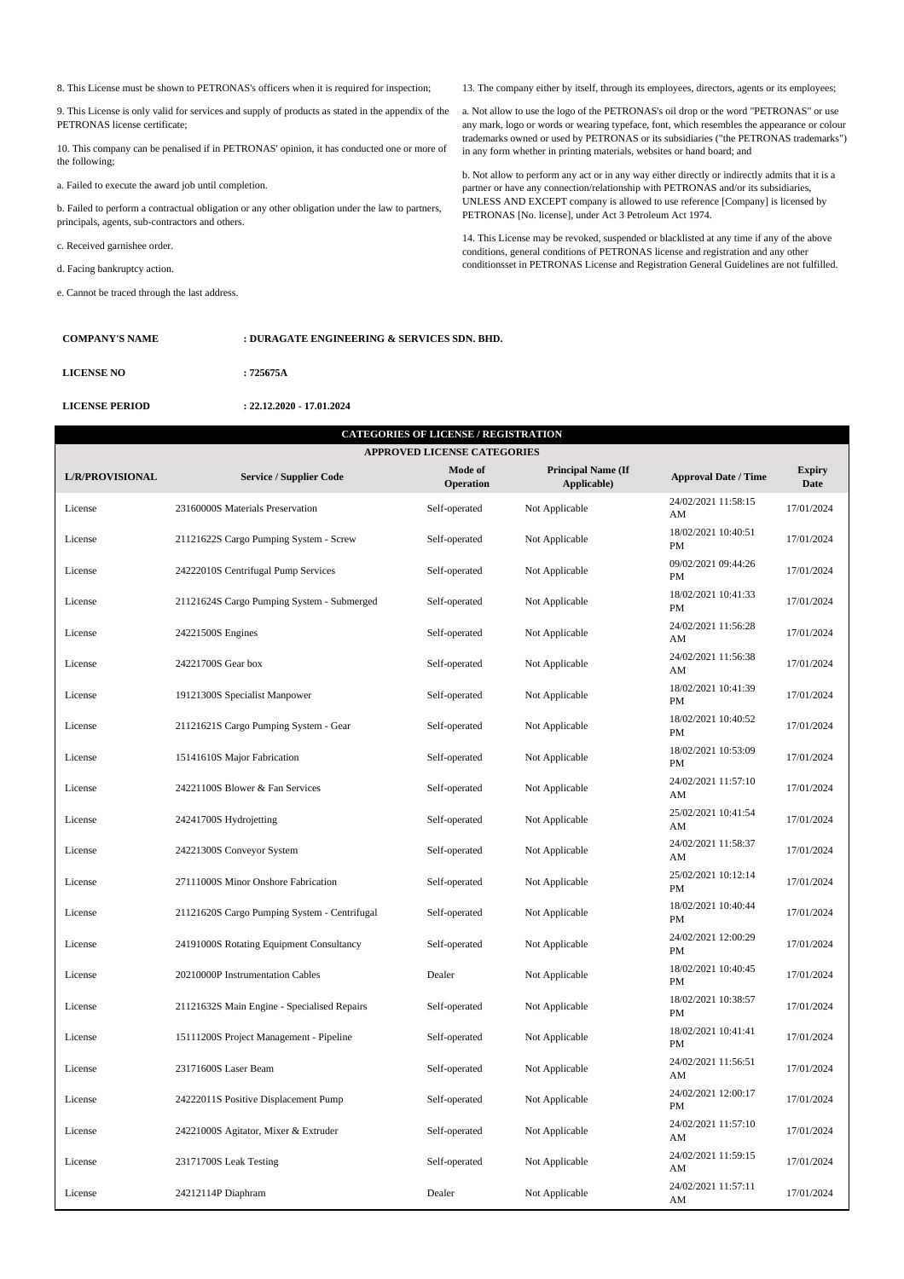8. This License must be shown to PETRONAS's officers when it is required for inspection;

9. This License is only valid for services and supply of products as stated in the appendix of the PETRONAS license certificate;

10. This company can be penalised if in PETRONAS' opinion, it has conducted one or more of the following;

a. Failed to execute the award job until completion.

b. Failed to perform a contractual obligation or any other obligation under the law to partners, principals, agents, sub-contractors and others.

c. Received garnishee order.

d. Facing bankruptcy action.

e. Cannot be traced through the last address.

13. The company either by itself, through its employees, directors, agents or its employees;

a. Not allow to use the logo of the PETRONAS's oil drop or the word "PETRONAS" or use any mark, logo or words or wearing typeface, font, which resembles the appearance or colour trademarks owned or used by PETRONAS or its subsidiaries ("the PETRONAS trademarks") in any form whether in printing materials, websites or hand board; and

b. Not allow to perform any act or in any way either directly or indirectly admits that it is a partner or have any connection/relationship with PETRONAS and/or its subsidiaries, UNLESS AND EXCEPT company is allowed to use reference [Company] is licensed by PETRONAS [No. license], under Act 3 Petroleum Act 1974.

14. This License may be revoked, suspended or blacklisted at any time if any of the above conditions, general conditions of PETRONAS license and registration and any other conditionsset in PETRONAS License and Registration General Guidelines are not fulfilled.

| <b>COMPANY'S NAME</b> | : DURAGATE ENGINEERING & SERVICES SDN. BHD. |  |  |
|-----------------------|---------------------------------------------|--|--|
| <b>LICENSE NO</b>     | : 725675A                                   |  |  |
| <b>LICENSE PERIOD</b> | $: 22.12.2020 - 17.01.2024$                 |  |  |

| <b>CATEGORIES OF LICENSE / REGISTRATION</b><br><b>APPROVED LICENSE CATEGORIES</b> |                                              |                      |                                          |                             |                       |  |  |  |  |  |
|-----------------------------------------------------------------------------------|----------------------------------------------|----------------------|------------------------------------------|-----------------------------|-----------------------|--|--|--|--|--|
| L/R/PROVISIONAL                                                                   | <b>Service / Supplier Code</b>               | Mode of<br>Operation | <b>Principal Name (If</b><br>Applicable) | <b>Approval Date / Time</b> | <b>Expiry</b><br>Date |  |  |  |  |  |
| License                                                                           | 23160000S Materials Preservation             | Self-operated        | Not Applicable                           | 24/02/2021 11:58:15<br>AM   | 17/01/2024            |  |  |  |  |  |
| License                                                                           | 21121622S Cargo Pumping System - Screw       | Self-operated        | Not Applicable                           | 18/02/2021 10:40:51<br>PM   | 17/01/2024            |  |  |  |  |  |
| License                                                                           | 24222010S Centrifugal Pump Services          | Self-operated        | Not Applicable                           | 09/02/2021 09:44:26<br>PM   | 17/01/2024            |  |  |  |  |  |
| License                                                                           | 21121624S Cargo Pumping System - Submerged   | Self-operated        | Not Applicable                           | 18/02/2021 10:41:33<br>PM   | 17/01/2024            |  |  |  |  |  |
| License                                                                           | 24221500S Engines                            | Self-operated        | Not Applicable                           | 24/02/2021 11:56:28<br>AM   | 17/01/2024            |  |  |  |  |  |
| License                                                                           | 24221700S Gear box                           | Self-operated        | Not Applicable                           | 24/02/2021 11:56:38<br>AM   | 17/01/2024            |  |  |  |  |  |
| License                                                                           | 19121300S Specialist Manpower                | Self-operated        | Not Applicable                           | 18/02/2021 10:41:39<br>PM   | 17/01/2024            |  |  |  |  |  |
| License                                                                           | 21121621S Cargo Pumping System - Gear        | Self-operated        | Not Applicable                           | 18/02/2021 10:40:52<br>PM   | 17/01/2024            |  |  |  |  |  |
| License                                                                           | 15141610S Major Fabrication                  | Self-operated        | Not Applicable                           | 18/02/2021 10:53:09<br>PM   | 17/01/2024            |  |  |  |  |  |
| License                                                                           | 24221100S Blower & Fan Services              | Self-operated        | Not Applicable                           | 24/02/2021 11:57:10<br>AM   | 17/01/2024            |  |  |  |  |  |
| License                                                                           | 24241700S Hydrojetting                       | Self-operated        | Not Applicable                           | 25/02/2021 10:41:54<br>AM   | 17/01/2024            |  |  |  |  |  |
| License                                                                           | 24221300S Conveyor System                    | Self-operated        | Not Applicable                           | 24/02/2021 11:58:37<br>AM   | 17/01/2024            |  |  |  |  |  |
| License                                                                           | 27111000S Minor Onshore Fabrication          | Self-operated        | Not Applicable                           | 25/02/2021 10:12:14<br>PM   | 17/01/2024            |  |  |  |  |  |
| License                                                                           | 21121620S Cargo Pumping System - Centrifugal | Self-operated        | Not Applicable                           | 18/02/2021 10:40:44<br>PM   | 17/01/2024            |  |  |  |  |  |
| License                                                                           | 24191000S Rotating Equipment Consultancy     | Self-operated        | Not Applicable                           | 24/02/2021 12:00:29<br>PM   | 17/01/2024            |  |  |  |  |  |
| License                                                                           | 20210000P Instrumentation Cables             | Dealer               | Not Applicable                           | 18/02/2021 10:40:45<br>PM   | 17/01/2024            |  |  |  |  |  |
| License                                                                           | 21121632S Main Engine - Specialised Repairs  | Self-operated        | Not Applicable                           | 18/02/2021 10:38:57<br>PM   | 17/01/2024            |  |  |  |  |  |
| License                                                                           | 15111200S Project Management - Pipeline      | Self-operated        | Not Applicable                           | 18/02/2021 10:41:41<br>PM   | 17/01/2024            |  |  |  |  |  |
| License                                                                           | 23171600S Laser Beam                         | Self-operated        | Not Applicable                           | 24/02/2021 11:56:51<br>AM   | 17/01/2024            |  |  |  |  |  |
| License                                                                           | 24222011S Positive Displacement Pump         | Self-operated        | Not Applicable                           | 24/02/2021 12:00:17<br>PM   | 17/01/2024            |  |  |  |  |  |
| License                                                                           | 24221000S Agitator, Mixer & Extruder         | Self-operated        | Not Applicable                           | 24/02/2021 11:57:10<br>AM   | 17/01/2024            |  |  |  |  |  |
| License                                                                           | 23171700S Leak Testing                       | Self-operated        | Not Applicable                           | 24/02/2021 11:59:15<br>AM   | 17/01/2024            |  |  |  |  |  |
| License                                                                           | 24212114P Diaphram                           | Dealer               | Not Applicable                           | 24/02/2021 11:57:11<br>AM   | 17/01/2024            |  |  |  |  |  |